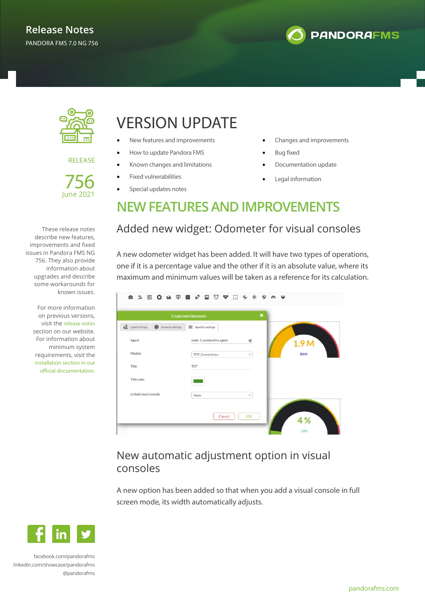



RELEASE



These release notes describe new features, improvements and fixed issues in Pandora FMS NG 756. They also provide information about upgrades and describe some workarounds for known issues.

> For more information on previous versions, visit the release notes section on our website. For information about minimum system requirements, visit the installation section in our official documentation.

# VERSION UPDATE

- New features and improvements
- How to update Pandora FMS
- Known changes and limitations
- Fixed vulnerabilities
- Special updates notes
- Changes and improvements
- **Bug fixed**
- Documentation update
- Legal information

# **NEW FEATURES AND IMPROVEMENTS**

### Added new widget: Odometer for visual consoles

A new odometer widget has been added. It will have two types of operations, one if it is a percentage value and the other if it is an absolute value, where its maximum and minimum values will be taken as a reference for its calculation.

|                                             | $\pmb{\times}$<br><b>Create item Odometer</b>      |            |
|---------------------------------------------|----------------------------------------------------|------------|
| General settings<br><b>2</b> Label settings | secific settings                                   |            |
| Agent                                       | nodo-1-pandorafms agent<br>$\oplus$                | 1.9M       |
| Module                                      | <b>TCP_Connections</b><br>$\overline{\phantom{a}}$ | <b>RAM</b> |
| Title                                       | <b>TCP</b>                                         |            |
| Title color                                 |                                                    |            |
| Linked visual console                       | None<br>$\overline{\mathbf v}$                     |            |
|                                             |                                                    |            |

### New automatic adjustment option in visual consoles

A new option has been added so that when you add a visual console in full screen mode, its width automatically adjusts.



[facebook.com/pandorafms](https://es-es.facebook.com/pandorafms/) [linkedin.com/showcase/pandorafms](https://www.linkedin.com/showcase/pandorafms) [@pandorafms](https://twitter.com/pandorafms)

#### [pandorafms.com](http://pandorafms.com)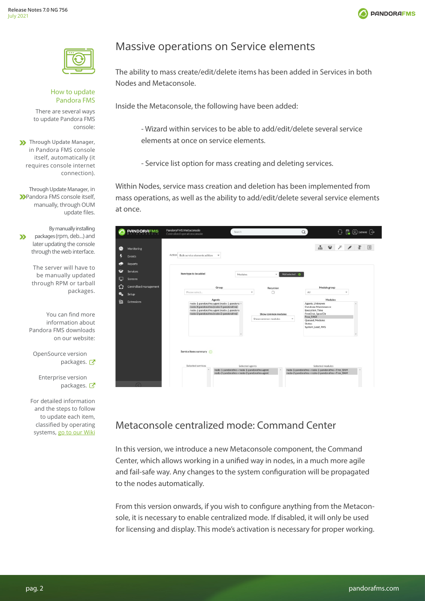



#### How to update Pandora FMS

There are several ways to update Pandora FMS console:

**XX** Through Update Manager, in Pandora FMS console itself, automatically (it requires console internet connection).

Through Update Manager, in Pandora FMS console itself, manually, through OUM update files.

By manually installing packages (rpm, deb...) and  $\mathbf{v}$ later updating the console through the web interface.

> The server will have to be manually updated through RPM or tarball packages.

You can find more information about Pandora FMS downloads on our website:

OpenSource version packages.

Enterprise version packages.

For detailed information and the steps to follow to update each item, classified by operating systems, go to our Wiki

### Massive operations on Service elements

The ability to mass create/edit/delete items has been added in Services in both Nodes and Metaconsole.

Inside the Metaconsole, the following have been added:

- Wizard within services to be able to add/edit/delete several service elements at once on service elements.
- Service list option for mass creating and deleting services.

Within Nodes, service mass creation and deletion has been implemented from mass operations, as well as the ability to add/edit/delete several service elements at once.

|    | <b>PANDORAFMS</b>      | PandoraFMS Metaconsole<br>Centralized operation console                                                                                                                          | Search                                                                                                                    | Q                                                                                                                                                                 | $G \nightharpoonup$ $\bigcirc$ $\Box$ (admin) $\bigcirc$ |
|----|------------------------|----------------------------------------------------------------------------------------------------------------------------------------------------------------------------------|---------------------------------------------------------------------------------------------------------------------------|-------------------------------------------------------------------------------------------------------------------------------------------------------------------|----------------------------------------------------------|
| N, | Monitoring<br>Events   | Action<br>Bulk service elements adition                                                                                                                                          |                                                                                                                           | ᄬ<br>$\mathcal{P}$<br>s.                                                                                                                                          | 圖<br>$\sqrt{1}$                                          |
|    | Reports                |                                                                                                                                                                                  |                                                                                                                           |                                                                                                                                                                   |                                                          |
|    | Services               | Item type to be added                                                                                                                                                            | Modules                                                                                                                   | Add selected O                                                                                                                                                    |                                                          |
| ▬  | Screens                |                                                                                                                                                                                  |                                                                                                                           |                                                                                                                                                                   |                                                          |
| О  | Centralised management | Group                                                                                                                                                                            | Recursion                                                                                                                 | Module group                                                                                                                                                      |                                                          |
| ÷. | Setup                  | Please select                                                                                                                                                                    | Ω<br>$\overline{\phantom{a}}$                                                                                             | All                                                                                                                                                               | $\overline{\phantom{a}}$                                 |
| 93 | <b>Extensions</b>      | Agents<br>nodo-1-pandorafms agent (nodo-1-pandora -<br>nodo-1-pandorafms (nodo-1-pandorafms)<br>nodo-2-pandorafms agent (nodo-2-pandora<br>nodo-2-pandorafms (nodo-2-pandorafms) | Show common modules<br>Show common modules                                                                                | Modules<br>Agents Unknown<br>Database Maintenance<br><b>Execution Time</b><br>FreeDisk SpoolDir<br>Free RAM<br>Queued_Modules<br><b>Status</b><br>System Load AVG |                                                          |
|    |                        | Service items summary (i)<br>Selected services                                                                                                                                   | Selected agents<br>nodo-1-pandorafms » nodo-1-pandorafms agent<br>$\Delta$<br>nodo-2-pandorafms » nodo-2-pandorafms agent | Selected modules<br>nodo-1-pandorafms » nodo-1-pandorafms » Free_RAM<br>nodo-2-pandorafms » nodo-2-pandorafms » Free RAM                                          | $\blacktriangle$                                         |

### Metaconsole centralized mode: Command Center

In this version, we introduce a new Metaconsole component, the Command Center, which allows working in a unified way in nodes, in a much more agile and fail-safe way. Any changes to the system configuration will be propagated to the nodes automatically.

From this version onwards, if you wish to configure anything from the Metaconsole, it is necessary to enable centralized mode. If disabled, it will only be used for licensing and display. This mode's activation is necessary for proper working.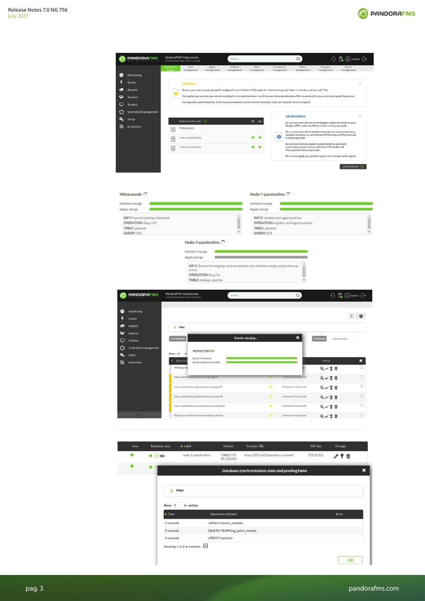

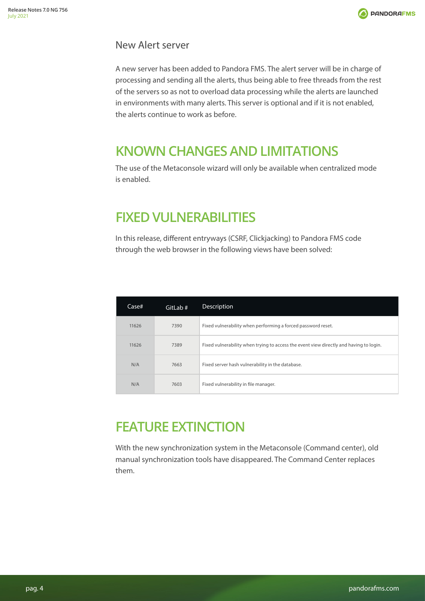

#### New Alert server

A new server has been added to Pandora FMS. The alert server will be in charge of processing and sending all the alerts, thus being able to free threads from the rest of the servers so as not to overload data processing while the alerts are launched in environments with many alerts. This server is optional and if it is not enabled, the alerts continue to work as before.

### **KNOWN CHANGES AND LIMITATIONS**

The use of the Metaconsole wizard will only be available when centralized mode is enabled.

### **FIXED VULNERABILITIES**

In this release, different entryways (CSRF, Clickjacking) to Pandora FMS code through the web browser in the following views have been solved:

| Case# | GitLab # | <b>Description</b>                                                                     |
|-------|----------|----------------------------------------------------------------------------------------|
| 11626 | 7390     | Fixed vulnerability when performing a forced password reset.                           |
| 11626 | 7389     | Fixed vulnerability when trying to access the event view directly and having to login. |
| N/A   | 7663     | Fixed server hash vulnerability in the database.                                       |
| N/A   | 7603     | Fixed vulnerability in file manager.                                                   |

### **FEATURE EXTINCTION**

With the new synchronization system in the Metaconsole (Command center), old manual synchronization tools have disappeared. The Command Center replaces them.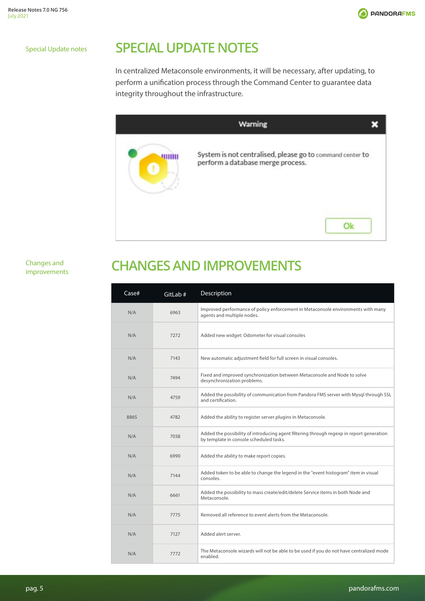

#### Special Update notes

### **SPECIAL UPDATE NOTES**

In centralized Metaconsole environments, it will be necessary, after updating, to perform a unification process through the Command Center to guarantee data integrity throughout the infrastructure.



Changes and improvements

## **CHANGES AND IMPROVEMENTS**

| Case# | GitLab# | Description                                                                                                                         |
|-------|---------|-------------------------------------------------------------------------------------------------------------------------------------|
| N/A   | 6963    | Improved performance of policy enforcement in Metaconsole environments with many<br>agents and multiple nodes.                      |
| N/A   | 7272    | Added new widget: Odometer for visual consoles                                                                                      |
| N/A   | 7143    | New automatic adjustment field for full screen in visual consoles.                                                                  |
| N/A   | 7494    | Fixed and improved synchronization between Metaconsole and Node to solve<br>desynchronization problems.                             |
| N/A   | 4759    | Added the possibility of communication from Pandora FMS server with Mysql through SSL<br>and certification.                         |
| 8865  | 4782    | Added the ability to register server plugins in Metaconsole.                                                                        |
| N/A   | 7038    | Added the possibility of introducing agent filtering through regexp in report generation<br>by template in console scheduled tasks. |
| N/A   | 6990    | Added the ability to make report copies.                                                                                            |
| N/A   | 7144    | Added token to be able to change the legend in the "event histogram" item in visual<br>consoles.                                    |
| N/A   | 6661    | Added the possibility to mass create/edit/delete Service items in both Node and<br>Metaconsole.                                     |
| N/A   | 7775    | Removed all reference to event alerts from the Metaconsole.                                                                         |
| N/A   | 7127    | Added alert server.                                                                                                                 |
| N/A   | 7772    | The Metaconsole wizards will not be able to be used if you do not have centralized mode<br>enabled.                                 |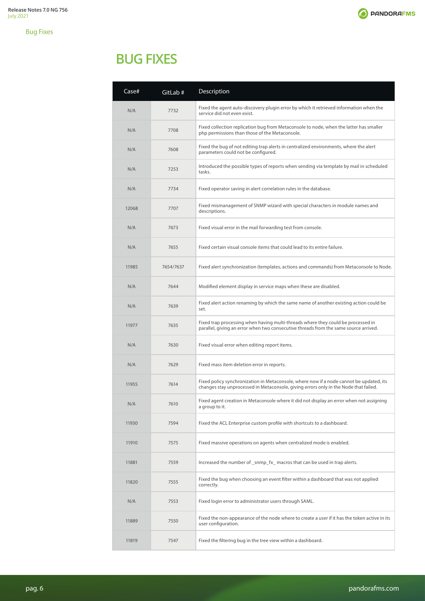

## **BUG FIXES**

| Case# | GitLab#   | Description                                                                                                                                                                     |
|-------|-----------|---------------------------------------------------------------------------------------------------------------------------------------------------------------------------------|
| N/A   | 7732      | Fixed the agent auto-discovery plugin error by which it retrieved information when the<br>service did not even exist.                                                           |
| N/A   | 7708      | Fixed collection replication bug from Metaconsole to node, when the latter has smaller<br>php permissions than those of the Metaconsole.                                        |
| N/A   | 7608      | Fixed the bug of not editing trap alerts in centralized environments, where the alert<br>parameters could not be configured.                                                    |
| N/A   | 7253      | Introduced the possible types of reports when sending via template by mail in scheduled<br>tasks.                                                                               |
| N/A   | 7734      | Fixed operator saving in alert correlation rules in the database.                                                                                                               |
| 12068 | 7707      | Fixed mismanagement of SNMP wizard with special characters in module names and<br>descriptions.                                                                                 |
| N/A   | 7673      | Fixed visual error in the mail forwarding test from console.                                                                                                                    |
| N/A   | 7655      | Fixed certain visual console items that could lead to its entire failure.                                                                                                       |
| 11985 | 7654/7637 | Fixed alert synchronization (templates, actions and commands) from Metaconsole to Node.                                                                                         |
| N/A   | 7644      | Modified element display in service maps when these are disabled.                                                                                                               |
| N/A   | 7639      | Fixed alert action renaming by which the same name of another existing action could be<br>set.                                                                                  |
| 11977 | 7635      | Fixed trap processing when having multi-threads where they could be processed in<br>parallel, giving an error when two consecutive threads from the same source arrived.        |
| N/A   | 7630      | Fixed visual error when editing report items.                                                                                                                                   |
| N/A   | 7629      | Fixed mass item deletion error in reports.                                                                                                                                      |
| 11955 | 7614      | Fixed policy synchronization in Metaconsole, where now if a node cannot be updated, its<br>changes stay unprocessed in Metaconsole, giving errors only in the Node that failed. |
| N/A   | 7610      | Fixed agent creation in Metaconsole where it did not display an error when not assigning<br>a group to it.                                                                      |
| 11930 | 7594      | Fixed the ACL Enterprise custom profile with shortcuts to a dashboard.                                                                                                          |
| 11910 | 7575      | Fixed massive operations on agents when centralized mode is enabled.                                                                                                            |
| 11881 | 7559      | Increased the number of _snmp_fx_ macros that can be used in trap alerts.                                                                                                       |
| 11820 | 7555      | Fixed the bug when choosing an event filter within a dashboard that was not applied<br>correctly.                                                                               |
| N/A   | 7553      | Fixed login error to administrator users through SAML.                                                                                                                          |
| 11889 | 7550      | Fixed the non-appearance of the node where to create a user if it has the token active in its<br>user configuration.                                                            |
| 11819 | 7547      | Fixed the filtering bug in the tree view within a dashboard.                                                                                                                    |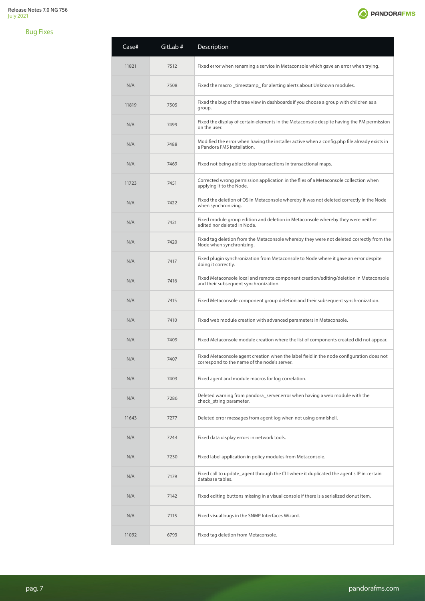#### Bug Fixes



| Case# | GitLab# | Description                                                                                                                              |
|-------|---------|------------------------------------------------------------------------------------------------------------------------------------------|
| 11821 | 7512    | Fixed error when renaming a service in Metaconsole which gave an error when trying.                                                      |
| N/A   | 7508    | Fixed the macro_timestamp_for alerting alerts about Unknown modules.                                                                     |
| 11819 | 7505    | Fixed the bug of the tree view in dashboards if you choose a group with children as a<br>group.                                          |
| N/A   | 7499    | Fixed the display of certain elements in the Metaconsole despite having the PM permission<br>on the user.                                |
| N/A   | 7488    | Modified the error when having the installer active when a config.php file already exists in<br>a Pandora FMS installation.              |
| N/A   | 7469    | Fixed not being able to stop transactions in transactional maps.                                                                         |
| 11723 | 7451    | Corrected wrong permission application in the files of a Metaconsole collection when<br>applying it to the Node.                         |
| N/A   | 7422    | Fixed the deletion of OS in Metaconsole whereby it was not deleted correctly in the Node<br>when synchronizing.                          |
| N/A   | 7421    | Fixed module group edition and deletion in Metaconsole whereby they were neither<br>edited nor deleted in Node.                          |
| N/A   | 7420    | Fixed tag deletion from the Metaconsole whereby they were not deleted correctly from the<br>Node when synchronizing.                     |
| N/A   | 7417    | Fixed plugin synchronization from Metaconsole to Node where it gave an error despite<br>doing it correctly.                              |
| N/A   | 7416    | Fixed Metaconsole local and remote component creation/editing/deletion in Metaconsole<br>and their subsequent synchronization.           |
| N/A   | 7415    | Fixed Metaconsole component group deletion and their subsequent synchronization.                                                         |
| N/A   | 7410    | Fixed web module creation with advanced parameters in Metaconsole.                                                                       |
| N/A   | 7409    | Fixed Metaconsole module creation where the list of components created did not appear.                                                   |
| N/A   | 7407    | Fixed Metaconsole agent creation when the label field in the node configuration does not<br>correspond to the name of the node's server. |
| N/A   | 7403    | Fixed agent and module macros for log correlation.                                                                                       |
| N/A   | 7286    | Deleted warning from pandora_server.error when having a web module with the<br>check_string parameter.                                   |
| 11643 | 7277    | Deleted error messages from agent log when not using omnishell.                                                                          |
| N/A   | 7244    | Fixed data display errors in network tools.                                                                                              |
| N/A   | 7230    | Fixed label application in policy modules from Metaconsole.                                                                              |
| N/A   | 7179    | Fixed call to update_agent through the CLI where it duplicated the agent's IP in certain<br>database tables.                             |
| N/A   | 7142    | Fixed editing buttons missing in a visual console if there is a serialized donut item.                                                   |
| N/A   | 7115    | Fixed visual bugs in the SNMP Interfaces Wizard.                                                                                         |
| 11092 | 6793    | Fixed tag deletion from Metaconsole.                                                                                                     |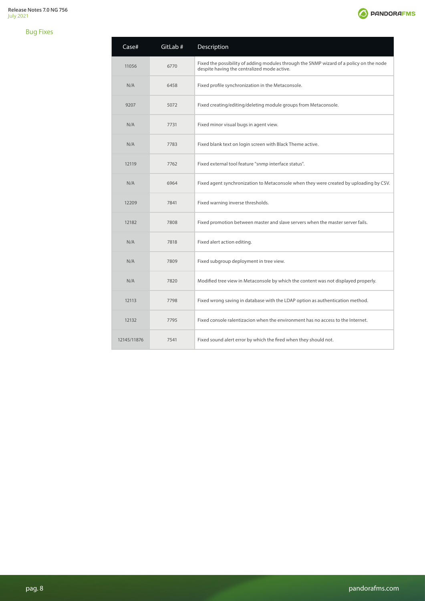#### Bug Fixes



| Case#       | GitLab# | Description                                                                                                                            |
|-------------|---------|----------------------------------------------------------------------------------------------------------------------------------------|
| 11056       | 6770    | Fixed the possibility of adding modules through the SNMP wizard of a policy on the node<br>despite having the centralized mode active. |
| N/A         | 6458    | Fixed profile synchronization in the Metaconsole.                                                                                      |
| 9207        | 5072    | Fixed creating/editing/deleting module groups from Metaconsole.                                                                        |
| N/A         | 7731    | Fixed minor visual bugs in agent view.                                                                                                 |
| N/A         | 7783    | Fixed blank text on login screen with Black Theme active.                                                                              |
| 12119       | 7762    | Fixed external tool feature "snmp interface status".                                                                                   |
| N/A         | 6964    | Fixed agent synchronization to Metaconsole when they were created by uploading by CSV.                                                 |
| 12209       | 7841    | Fixed warning inverse thresholds.                                                                                                      |
| 12182       | 7808    | Fixed promotion between master and slave servers when the master server fails.                                                         |
| N/A         | 7818    | Fixed alert action editing.                                                                                                            |
| N/A         | 7809    | Fixed subgroup deployment in tree view.                                                                                                |
| N/A         | 7820    | Modified tree view in Metaconsole by which the content was not displayed properly.                                                     |
| 12113       | 7798    | Fixed wrong saving in database with the LDAP option as authentication method.                                                          |
| 12132       | 7795    | Fixed console ralentizacion when the environment has no access to the Internet.                                                        |
| 12145/11876 | 7541    | Fixed sound alert error by which the fired when they should not.                                                                       |